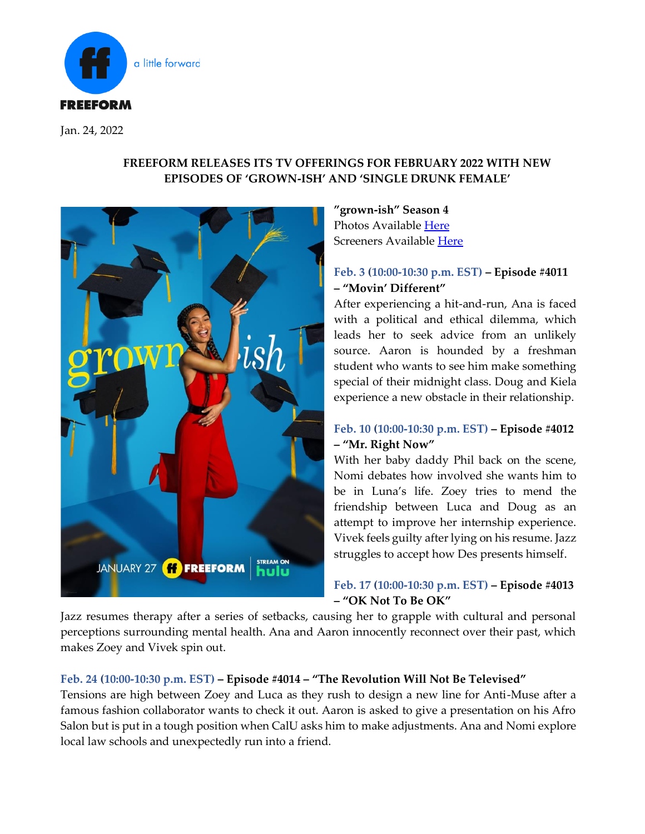

Jan. 24, 2022

### **FREEFORM RELEASES ITS TV OFFERINGS FOR FEBRUARY 2022 WITH NEW EPISODES OF 'GROWN-ISH' AND 'SINGLE DRUNK FEMALE'**



**"grown-ish" Season 4**  Photos Availabl[e Here](https://www.dgepress.com/freeform/shows/grown-ish/photos/) Screeners Available [Here](http://www.digitalscreeners.com/)

# **Feb. 3 (10:00-10:30 p.m. EST) – Episode #4011 – "Movin' Different"**

After experiencing a hit-and-run, Ana is faced with a political and ethical dilemma, which leads her to seek advice from an unlikely source. Aaron is hounded by a freshman student who wants to see him make something special of their midnight class. Doug and Kiela experience a new obstacle in their relationship.

### **Feb. 10 (10:00-10:30 p.m. EST) – Episode #4012 – "Mr. Right Now"**

With her baby daddy Phil back on the scene, Nomi debates how involved she wants him to be in Luna's life. Zoey tries to mend the friendship between Luca and Doug as an attempt to improve her internship experience. Vivek feels guilty after lying on his resume. Jazz struggles to accept how Des presents himself.

#### **Feb. 17 (10:00-10:30 p.m. EST) – Episode #4013 – "OK Not To Be OK"**

Jazz resumes therapy after a series of setbacks, causing her to grapple with cultural and personal perceptions surrounding mental health. Ana and Aaron innocently reconnect over their past, which makes Zoey and Vivek spin out.

# **Feb. 24 (10:00-10:30 p.m. EST) – Episode #4014 – "The Revolution Will Not Be Televised"**

Tensions are high between Zoey and Luca as they rush to design a new line for Anti-Muse after a famous fashion collaborator wants to check it out. Aaron is asked to give a presentation on his Afro Salon but is put in a tough position when CalU asks him to make adjustments. Ana and Nomi explore local law schools and unexpectedly run into a friend.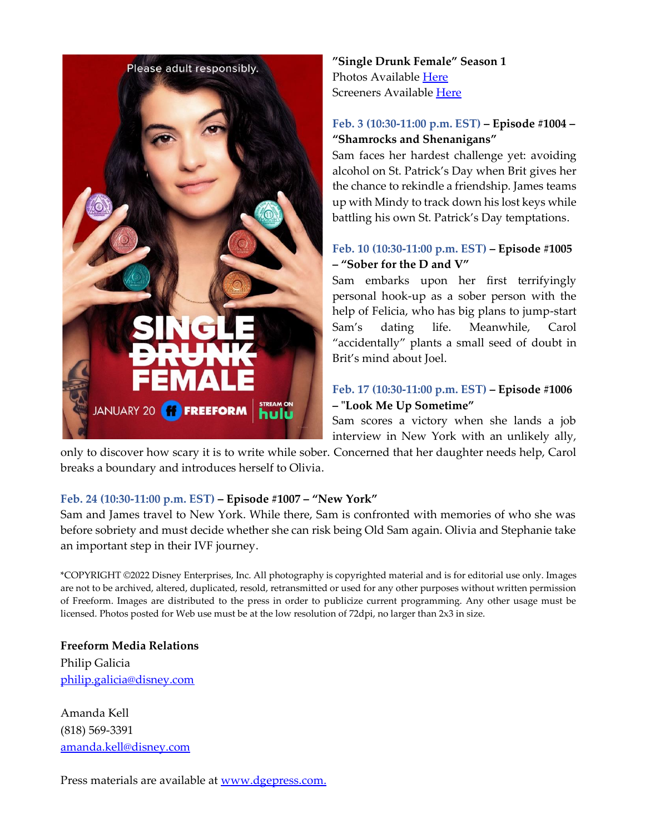

**"Single Drunk Female" Season 1**  Photos Available [Here](https://www.dgepress.com/freeform/shows/single-drunk-female/photos/) Screeners Available [Here](http://www.digitalscreeners.com/)

### **Feb. 3 (10:30-11:00 p.m. EST) – Episode #1004 – "Shamrocks and Shenanigans"**

Sam faces her hardest challenge yet: avoiding alcohol on St. Patrick's Day when Brit gives her the chance to rekindle a friendship. James teams up with Mindy to track down his lost keys while battling his own St. Patrick's Day temptations.

### **Feb. 10 (10:30-11:00 p.m. EST) – Episode #1005 – "Sober for the D and V"**

Sam embarks upon her first terrifyingly personal hook-up as a sober person with the help of Felicia, who has big plans to jump-start Sam's dating life. Meanwhile, Carol "accidentally" plants a small seed of doubt in Brit's mind about Joel.

# **Feb. 17 (10:30-11:00 p.m. EST) – Episode #1006 – "Look Me Up Sometime"**

Sam scores a victory when she lands a job interview in New York with an unlikely ally,

only to discover how scary it is to write while sober. Concerned that her daughter needs help, Carol breaks a boundary and introduces herself to Olivia.

### **Feb. 24 (10:30-11:00 p.m. EST) – Episode #1007 – "New York"**

Sam and James travel to New York. While there, Sam is confronted with memories of who she was before sobriety and must decide whether she can risk being Old Sam again. Olivia and Stephanie take an important step in their IVF journey.

\*COPYRIGHT ©2022 Disney Enterprises, Inc. All photography is copyrighted material and is for editorial use only. Images are not to be archived, altered, duplicated, resold, retransmitted or used for any other purposes without written permission of Freeform. Images are distributed to the press in order to publicize current programming. Any other usage must be licensed. Photos posted for Web use must be at the low resolution of 72dpi, no larger than 2x3 in size.

**Freeform Media Relations** Philip Galicia [philip.galicia@disney.com](mailto:philip.galicia@disney.com)

Amanda Kell (818) 569-3391 [amanda.kell@disney.com](mailto:amanda.kell@disney.com)

Press materials are available at [www.dgepress.com.](https://www.dgepress.com/freeform/)